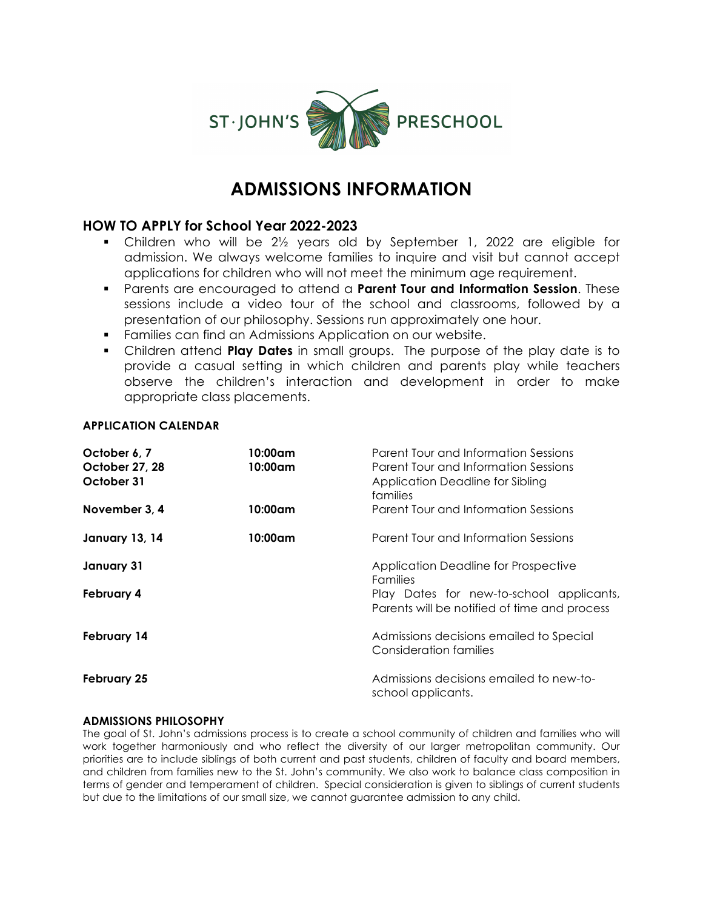

# **ADMISSIONS INFORMATION**

## **HOW TO APPLY for School Year 2022-2023**

- § Children who will be 2½ years old by September 1, 2022 are eligible for admission. We always welcome families to inquire and visit but cannot accept applications for children who will not meet the minimum age requirement.
- § Parents are encouraged to attend a **Parent Tour and Information Session**. These sessions include a video tour of the school and classrooms, followed by a presentation of our philosophy. Sessions run approximately one hour.
- § Families can find an Admissions Application on our website.
- § Children attend **Play Dates** in small groups. The purpose of the play date is to provide a casual setting in which children and parents play while teachers observe the children's interaction and development in order to make appropriate class placements.

#### **APPLICATION CALENDAR**

| October 6, 7<br>October 27, 28<br>October 31 | 10:00am<br>10:00am | Parent Tour and Information Sessions<br>Parent Tour and Information Sessions<br>Application Deadline for Sibling<br>families |
|----------------------------------------------|--------------------|------------------------------------------------------------------------------------------------------------------------------|
| November 3, 4                                | 10:00am            | Parent Tour and Information Sessions                                                                                         |
| January 13, 14                               | 10:00am            | Parent Tour and Information Sessions                                                                                         |
| January 31                                   |                    | Application Deadline for Prospective<br>Families                                                                             |
| February 4                                   |                    | Play Dates for new-to-school applicants,<br>Parents will be notified of time and process                                     |
| February 14                                  |                    | Admissions decisions emailed to Special<br><b>Consideration families</b>                                                     |
| <b>February 25</b>                           |                    | Admissions decisions emailed to new-to-<br>school applicants.                                                                |

#### **ADMISSIONS PHILOSOPHY**

The goal of St. John's admissions process is to create a school community of children and families who will work together harmoniously and who reflect the diversity of our larger metropolitan community. Our priorities are to include siblings of both current and past students, children of faculty and board members, and children from families new to the St. John's community. We also work to balance class composition in terms of gender and temperament of children. Special consideration is given to siblings of current students but due to the limitations of our small size, we cannot guarantee admission to any child.